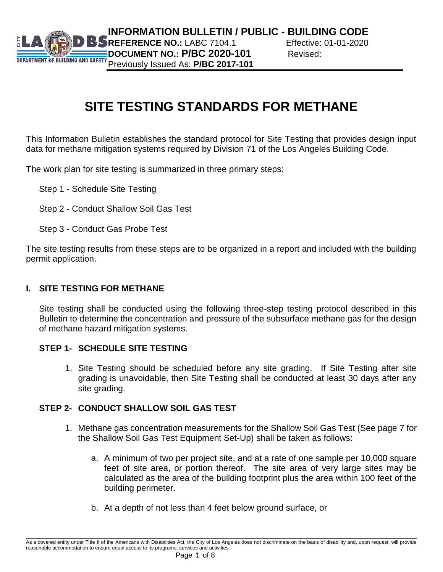

# **SITE TESTING STANDARDS FOR METHANE**

This Information Bulletin establishes the standard protocol for Site Testing that provides design input data for methane mitigation systems required by Division 71 of the Los Angeles Building Code.

The work plan for site testing is summarized in three primary steps:

- Step 1 Schedule Site Testing
- Step 2 Conduct Shallow Soil Gas Test
- Step 3 Conduct Gas Probe Test

The site testing results from these steps are to be organized in a report and included with the building permit application.

### **I. SITE TESTING FOR METHANE**

Site testing shall be conducted using the following three-step testing protocol described in this Bulletin to determine the concentration and pressure of the subsurface methane gas for the design of methane hazard mitigation systems.

## **STEP 1- SCHEDULE SITE TESTING**

1. Site Testing should be scheduled before any site grading. If Site Testing after site grading is unavoidable, then Site Testing shall be conducted at least 30 days after any site grading.

## **STEP 2- CONDUCT SHALLOW SOIL GAS TEST**

- 1. Methane gas concentration measurements for the Shallow Soil Gas Test (See page 7 for the Shallow Soil Gas Test Equipment Set-Up) shall be taken as follows:
	- a. A minimum of two per project site, and at a rate of one sample per 10,000 square feet of site area, or portion thereof. The site area of very large sites may be calculated as the area of the building footprint plus the area within 100 feet of the building perimeter.
	- b. At a depth of not less than 4 feet below ground surface, or

As a covered entity under Title II of the Americans with Disabilities Act, the City of Los Angeles does not discriminate on the basis of disability and, upon request, will provide reasonable accommodation to ensure equal access to its programs, services and activities.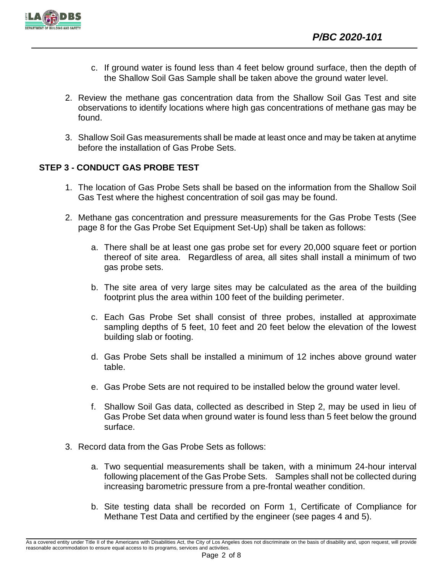

- c. If ground water is found less than 4 feet below ground surface, then the depth of the Shallow Soil Gas Sample shall be taken above the ground water level.
- 2. Review the methane gas concentration data from the Shallow Soil Gas Test and site observations to identify locations where high gas concentrations of methane gas may be found.
- 3. Shallow Soil Gas measurements shall be made at least once and may be taken at anytime before the installation of Gas Probe Sets.

## **STEP 3 - CONDUCT GAS PROBE TEST**

- 1. The location of Gas Probe Sets shall be based on the information from the Shallow Soil Gas Test where the highest concentration of soil gas may be found.
- 2. Methane gas concentration and pressure measurements for the Gas Probe Tests (See page 8 for the Gas Probe Set Equipment Set-Up) shall be taken as follows:
	- a. There shall be at least one gas probe set for every 20,000 square feet or portion thereof of site area. Regardless of area, all sites shall install a minimum of two gas probe sets.
	- b. The site area of very large sites may be calculated as the area of the building footprint plus the area within 100 feet of the building perimeter.
	- c. Each Gas Probe Set shall consist of three probes, installed at approximate sampling depths of 5 feet, 10 feet and 20 feet below the elevation of the lowest building slab or footing.
	- d. Gas Probe Sets shall be installed a minimum of 12 inches above ground water table.
	- e. Gas Probe Sets are not required to be installed below the ground water level.
	- f. Shallow Soil Gas data, collected as described in Step 2, may be used in lieu of Gas Probe Set data when ground water is found less than 5 feet below the ground surface.
- 3. Record data from the Gas Probe Sets as follows:
	- a. Two sequential measurements shall be taken, with a minimum 24-hour interval following placement of the Gas Probe Sets. Samples shall not be collected during increasing barometric pressure from a pre-frontal weather condition.
	- b. Site testing data shall be recorded on Form 1, Certificate of Compliance for Methane Test Data and certified by the engineer (see pages 4 and 5).

As a covered entity under Title II of the Americans with Disabilities Act, the City of Los Angeles does not discriminate on the basis of disability and, upon request, will provide reasonable accommodation to ensure equal access to its programs, services and activities.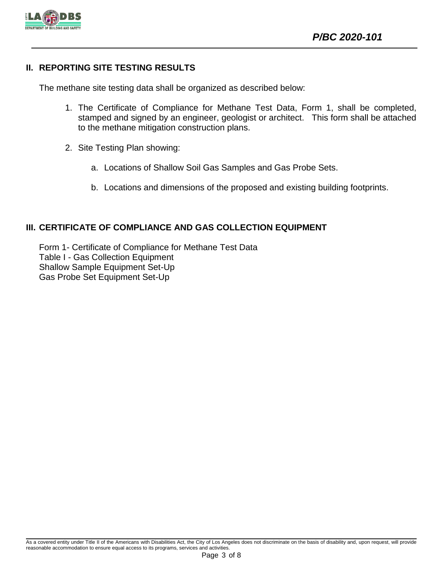

## **II. REPORTING SITE TESTING RESULTS**

The methane site testing data shall be organized as described below:

- 1. The Certificate of Compliance for Methane Test Data, Form 1, shall be completed, stamped and signed by an engineer, geologist or architect. This form shall be attached to the methane mitigation construction plans.
- 2. Site Testing Plan showing:
	- a. Locations of Shallow Soil Gas Samples and Gas Probe Sets.
	- b. Locations and dimensions of the proposed and existing building footprints.

## **III. CERTIFICATE OF COMPLIANCE AND GAS COLLECTION EQUIPMENT**

Form 1- Certificate of Compliance for Methane Test Data Table I - Gas Collection Equipment Shallow Sample Equipment Set-Up Gas Probe Set Equipment Set-Up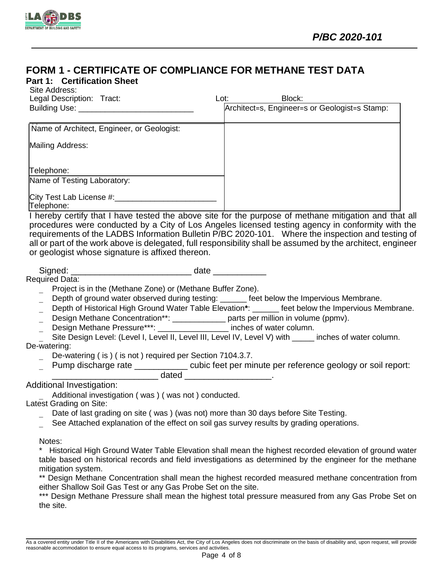

## **FORM 1 - CERTIFICATE OF COMPLIANCE FOR METHANE TEST DATA**

#### **Part 1: Certification Sheet** Site Address:

| 0110 / 1001 000.<br>Legal Description: Tract: | Block:<br>Lot:                                |
|-----------------------------------------------|-----------------------------------------------|
| Building Use: _                               | Architect=s, Engineer=s or Geologist=s Stamp: |
| Name of Architect, Engineer, or Geologist:    |                                               |
| Mailing Address:                              |                                               |
| Telephone:                                    |                                               |
| Name of Testing Laboratory:                   |                                               |
| City Test Lab License #:____<br>Telephone:    |                                               |

I hereby certify that I have tested the above site for the purpose of methane mitigation and that all procedures were conducted by a City of Los Angeles licensed testing agency in conformity with the requirements of the LADBS Information Bulletin P/BC 2020-101. Where the inspection and testing of all or part of the work above is delegated, full responsibility shall be assumed by the architect, engineer or geologist whose signature is affixed thereon.

Signed: \_\_\_\_\_\_\_\_\_\_\_\_\_\_\_\_\_\_\_\_\_\_\_\_\_ date \_\_\_\_\_\_\_\_\_\_\_

Required Data:

- Project is in the (Methane Zone) or (Methane Buffer Zone).
- Depth of ground water observed during testing: each other below the Impervious Membrane.
- Depth of Historical High Ground Water Table Elevation**\***: \_\_\_\_\_\_ feet below the Impervious Membrane.
- Design Methane Concentration\*\*: \_\_\_\_\_\_\_\_\_\_\_\_\_\_ parts per million in volume (ppmv).
- Design Methane Pressure\*\*\*: \_\_\_\_\_\_\_\_\_\_\_\_\_\_\_\_\_\_ inches of water column.

Site Design Level: (Level I, Level II, Level III, Level IV, Level V) with \_\_\_\_\_ inches of water column. De-watering:

- De-watering ( is ) ( is not ) required per Section 7104.3.7.
- Pump discharge rate \_\_\_\_\_\_\_\_\_\_\_ cubic feet per minute per reference geology or soil report: \_\_\_\_\_\_\_\_\_\_\_\_\_\_\_\_\_\_\_\_\_\_ dated \_\_\_\_\_\_\_\_\_\_\_\_\_\_\_\_\_\_.

Additional Investigation:

Additional investigation ( was ) ( was not ) conducted.

Latest Grading on Site:

- Date of last grading on site ( was ) (was not) more than 30 days before Site Testing.
- See Attached explanation of the effect on soil gas survey results by grading operations.

Notes:

\* Historical High Ground Water Table Elevation shall mean the highest recorded elevation of ground water table based on historical records and field investigations as determined by the engineer for the methane mitigation system.

\*\* Design Methane Concentration shall mean the highest recorded measured methane concentration from either Shallow Soil Gas Test or any Gas Probe Set on the site.

\*\*\* Design Methane Pressure shall mean the highest total pressure measured from any Gas Probe Set on the site.

As a covered entity under Title II of the Americans with Disabilities Act, the City of Los Angeles does not discriminate on the basis of disability and, upon request, will provide reasonable accommodation to ensure equal access to its programs, services and activities.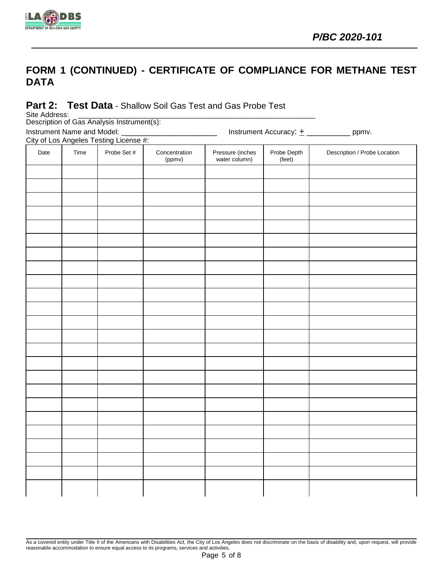

## **FORM 1 (CONTINUED) - CERTIFICATE OF COMPLIANCE FOR METHANE TEST DATA**

## **Part 2: Test Data** - Shallow Soil Gas Test and Gas Probe Test

Site Address:

Description of Gas Analysis Instrument(s):

Instrument Name and Model: \_\_\_\_\_\_\_\_\_\_\_\_\_\_\_\_\_\_\_\_\_\_\_\_\_\_\_\_\_\_\_ Instrument Accuracy:  $\pm$  \_\_\_\_\_\_\_\_\_\_\_\_\_ ppmv.

City of Los Angeles Testing License #:

| Date | Time | <u>eny or Ecommy die noondeling Electric in Fig.</u><br>Probe Set # | Concentration<br>(ppmv) | Pressure (inches<br>water column) | Probe Depth<br>(feet) | Description / Probe Location |
|------|------|---------------------------------------------------------------------|-------------------------|-----------------------------------|-----------------------|------------------------------|
|      |      |                                                                     |                         |                                   |                       |                              |
|      |      |                                                                     |                         |                                   |                       |                              |
|      |      |                                                                     |                         |                                   |                       |                              |
|      |      |                                                                     |                         |                                   |                       |                              |
|      |      |                                                                     |                         |                                   |                       |                              |
|      |      |                                                                     |                         |                                   |                       |                              |
|      |      |                                                                     |                         |                                   |                       |                              |
|      |      |                                                                     |                         |                                   |                       |                              |
|      |      |                                                                     |                         |                                   |                       |                              |
|      |      |                                                                     |                         |                                   |                       |                              |
|      |      |                                                                     |                         |                                   |                       |                              |
|      |      |                                                                     |                         |                                   |                       |                              |
|      |      |                                                                     |                         |                                   |                       |                              |
|      |      |                                                                     |                         |                                   |                       |                              |
|      |      |                                                                     |                         |                                   |                       |                              |
|      |      |                                                                     |                         |                                   |                       |                              |
|      |      |                                                                     |                         |                                   |                       |                              |
|      |      |                                                                     |                         |                                   |                       |                              |
|      |      |                                                                     |                         |                                   |                       |                              |
|      |      |                                                                     |                         |                                   |                       |                              |
|      |      |                                                                     |                         |                                   |                       |                              |
|      |      |                                                                     |                         |                                   |                       |                              |
|      |      |                                                                     |                         |                                   |                       |                              |
|      |      |                                                                     |                         |                                   |                       |                              |

As a covered entity under Title II of the Americans with Disabilities Act, the City of Los Angeles does not discriminate on the basis of disability and, upon request, will provide reasonable accommodation to ensure equal access to its programs, services and activities.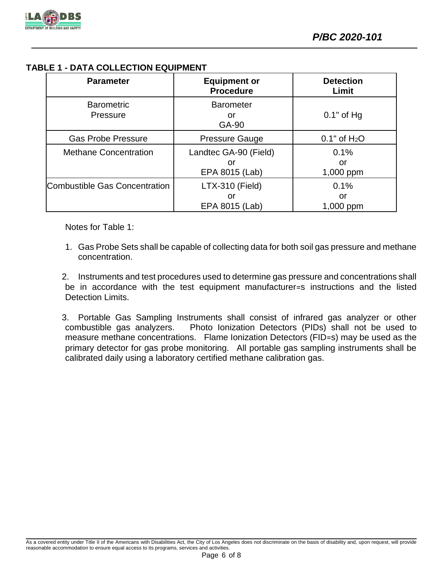

## **TABLE 1 - DATA COLLECTION EQUIPMENT**

| <b>Parameter</b>              | <b>Equipment or</b><br><b>Procedure</b>       | <b>Detection</b><br>Limit  |
|-------------------------------|-----------------------------------------------|----------------------------|
| <b>Barometric</b><br>Pressure | <b>Barometer</b><br>or<br>GA-90               | $0.1"$ of Hg               |
| <b>Gas Probe Pressure</b>     | <b>Pressure Gauge</b>                         | $0.1"$ of H <sub>2</sub> O |
| <b>Methane Concentration</b>  | Landtec GA-90 (Field)<br>or<br>EPA 8015 (Lab) | 0.1%<br>or<br>1,000 ppm    |
| Combustible Gas Concentration | LTX-310 (Field)<br>or<br>EPA 8015 (Lab)       | 0.1%<br>or<br>1,000 ppm    |

Notes for Table 1:

1. Gas Probe Sets shall be capable of collecting data for both soil gas pressure and methane concentration.

2. Instruments and test procedures used to determine gas pressure and concentrations shall be in accordance with the test equipment manufacturer=s instructions and the listed Detection Limits.

3. Portable Gas Sampling Instruments shall consist of infrared gas analyzer or other combustible gas analyzers. Photo Ionization Detectors (PIDs) shall not be used to measure methane concentrations. Flame Ionization Detectors (FID=s) may be used as the primary detector for gas probe monitoring. All portable gas sampling instruments shall be calibrated daily using a laboratory certified methane calibration gas.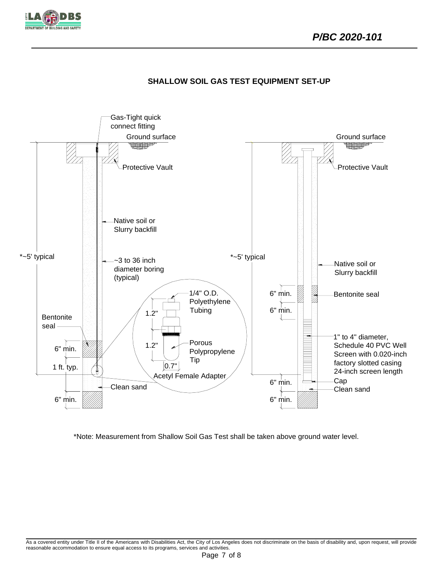







\*Note: Measurement from Shallow Soil Gas Test shall be taken above ground water level.

As a covered entity under Title II of the Americans with Disabilities Act, the City of Los Angeles does not discriminate on the basis of disability and, upon request, will provide reasonable accommodation to ensure equal access to its programs, services and activities.